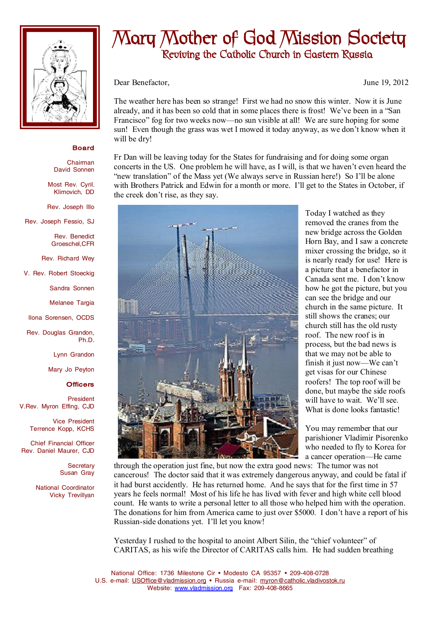

## **Board**

Chairman David Sonnen

Most Rev. Cyril. Klimovich, DD

Rev. Joseph Illo

Rev. Joseph Fessio, SJ

Rev. Benedict Groeschel,CFR

Rev. Richard Wey

V. Rev. Robert Stoeckig

Sandra Sonnen

Melanee Targia

Ilona Sorensen, OCDS

Rev. Douglas Grandon, Ph.D.

Lynn Grandon

Mary Jo Peyton

## **Officers**

President V.Rev. Myron Effing, CJD

> Vice President Terrence Kopp, KCHS

Chief Financial Officer Rev. Daniel Maurer, CJD

> **Secretary** Susan Gray

National Coordinator Vicky Trevillyan

## **Mary Mother of God Mission Society Reviving the Catholic Church in Eastern Russia**

Dear Benefactor, June 19, 2012

The weather here has been so strange! First we had no snow this winter. Now it is June already, and it has been so cold that in some places there is frost! We've been in a "San Francisco" fog for two weeks now—no sun visible at all! We are sure hoping for some sun! Even though the grass was wet I mowed it today anyway, as we don't know when it will be dry!

Fr Dan will be leaving today for the States for fundraising and for doing some organ concerts in the US. One problem he will have, as I will, is that we haven't even heard the "new translation" of the Mass yet (We always serve in Russian here!) So I'll be alone with Brothers Patrick and Edwin for a month or more. I'll get to the States in October, if the creek don't rise, as they say.



Today I watched as they removed the cranes from the new bridge across the Golden Horn Bay, and I saw a concrete mixer crossing the bridge, so it is nearly ready for use! Here is a picture that a benefactor in Canada sent me. I don't know how he got the picture, but you can see the bridge and our church in the same picture. It still shows the cranes; our church still has the old rusty roof. The new roof is in process, but the bad news is that we may not be able to finish it just now—We can't get visas for our Chinese roofers! The top roof will be done, but maybe the side roofs will have to wait. We'll see. What is done looks fantastic!

You may remember that our parishioner Vladimir Pisorenko who needed to fly to Korea for a cancer operation—He came

through the operation just fine, but now the extra good news: The tumor was not cancerous! The doctor said that it was extremely dangerous anyway, and could be fatal if it had burst accidently. He has returned home. And he says that for the first time in 57 years he feels normal! Most of his life he has lived with fever and high white cell blood count. He wants to write a personal letter to all those who helped him with the operation. The donations for him from America came to just over \$5000. I don't have a report of his Russian-side donations yet. I'll let you know!

Yesterday I rushed to the hospital to anoint Albert Silin, the "chief volunteer" of CARITAS, as his wife the Director of CARITAS calls him. He had sudden breathing